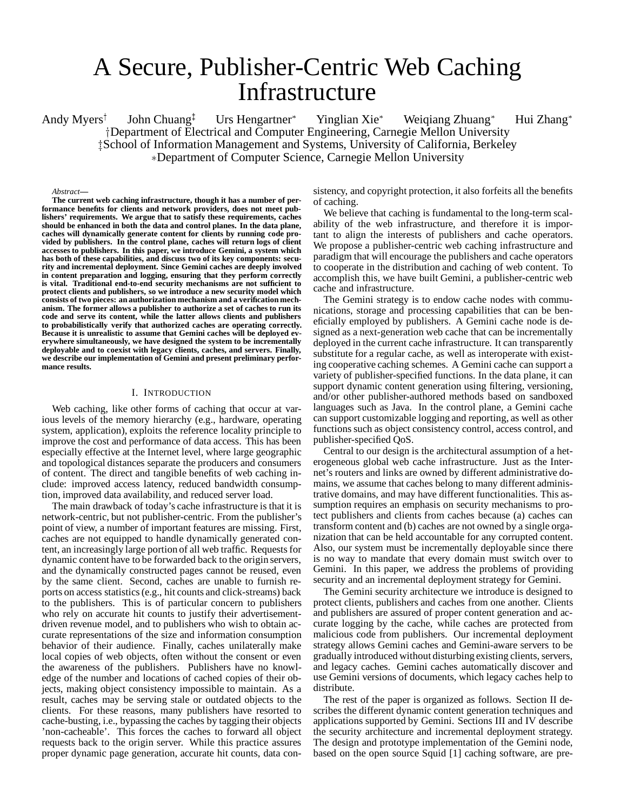# A Secure, Publisher-Centric Web Caching Infrastructure

Andy Myers<sup>†</sup> John Chuang<sup>†</sup> Urs Hengartner<sup>\*</sup> Yinglian Xie<sup>\*</sup> Weiqiang Zhuang<sup>\*</sup> Hui Zhang<sup>\*</sup> <sup>y</sup>Department of Electrical and Computer Engineering, Carnegie Mellon University <sup>z</sup>School of Information Management and Systems, University of California, Berkeley Department of Computer Science, Carnegie Mellon University

*Abstract***—**

**The current web caching infrastructure, though it has a number of performance benefits for clients and network providers, does not meet publishers' requirements. We argue that to satisfy these requirements, caches should be enhanced in both the data and control planes. In the data plane, caches will dynamically generate content for clients by running code provided by publishers. In the control plane, caches will return logs of client accesses to publishers. In this paper, we introduce Gemini, a system which has both of these capabilities, and discuss two of its key components: security and incremental deployment. Since Gemini caches are deeply involved in content preparation and logging, ensuring that they perform correctly is vital. Traditional end-to-end security mechanisms are not sufficient to protect clients and publishers, so we introduce a new security model which consists of two pieces: an authorization mechanism and a verification mechanism. The former allows a publisher to authorize a set of caches to run its code and serve its content, while the latter allows clients and publishers to probabilistically verify that authorized caches are operating correctly. Because it is unrealistic to assume that Gemini caches will be deployed everywhere simultaneously, we have designed the system to be incrementally deployable and to coexist with legacy clients, caches, and servers. Finally, we describe our implementation of Gemini and present preliminary performance results.**

#### I. INTRODUCTION

Web caching, like other forms of caching that occur at various levels of the memory hierarchy (e.g., hardware, operating system, application), exploits the reference locality principle to improve the cost and performance of data access. This has been especially effective at the Internet level, where large geographic and topological distances separate the producers and consumers of content. The direct and tangible benefits of web caching include: improved access latency, reduced bandwidth consumption, improved data availability, and reduced server load.

The main drawback of today's cache infrastructure is that it is network-centric, but not publisher-centric. From the publisher's point of view, a number of important features are missing. First, caches are not equipped to handle dynamically generated content, an increasingly large portion of all web traffic. Requests for dynamic content have to be forwarded back to the origin servers, and the dynamically constructed pages cannot be reused, even by the same client. Second, caches are unable to furnish reports on access statistics (e.g., hit counts and click-streams) back to the publishers. This is of particular concern to publishers who rely on accurate hit counts to justify their advertisementdriven revenue model, and to publishers who wish to obtain accurate representations of the size and information consumption behavior of their audience. Finally, caches unilaterally make local copies of web objects, often without the consent or even the awareness of the publishers. Publishers have no knowledge of the number and locations of cached copies of their objects, making object consistency impossible to maintain. As a result, caches may be serving stale or outdated objects to the clients. For these reasons, many publishers have resorted to cache-busting, i.e., bypassing the caches by tagging their objects 'non-cacheable'. This forces the caches to forward all object requests back to the origin server. While this practice assures proper dynamic page generation, accurate hit counts, data consistency, and copyright protection, it also forfeits all the benefits of caching.

We believe that caching is fundamental to the long-term scalability of the web infrastructure, and therefore it is important to align the interests of publishers and cache operators. We propose a publisher-centric web caching infrastructure and paradigm that will encourage the publishers and cache operators to cooperate in the distribution and caching of web content. To accomplish this, we have built Gemini, a publisher-centric web cache and infrastructure.

The Gemini strategy is to endow cache nodes with communications, storage and processing capabilities that can be beneficially employed by publishers. A Gemini cache node is designed as a next-generation web cache that can be incrementally deployed in the current cache infrastructure. It can transparently substitute for a regular cache, as well as interoperate with existing cooperative caching schemes. A Gemini cache can support a variety of publisher-specified functions. In the data plane, it can support dynamic content generation using filtering, versioning, and/or other publisher-authored methods based on sandboxed languages such as Java. In the control plane, a Gemini cache can support customizable logging and reporting, as well as other functions such as object consistency control, access control, and publisher-specified QoS.

Central to our design is the architectural assumption of a heterogeneous global web cache infrastructure. Just as the Internet's routers and links are owned by different administrative domains, we assume that caches belong to many different administrative domains, and may have different functionalities. This assumption requires an emphasis on security mechanisms to protect publishers and clients from caches because (a) caches can transform content and (b) caches are not owned by a single organization that can be held accountable for any corrupted content. Also, our system must be incrementally deployable since there is no way to mandate that every domain must switch over to Gemini. In this paper, we address the problems of providing security and an incremental deployment strategy for Gemini.

The Gemini security architecture we introduce is designed to protect clients, publishers and caches from one another. Clients and publishers are assured of proper content generation and accurate logging by the cache, while caches are protected from malicious code from publishers. Our incremental deployment strategy allows Gemini caches and Gemini-aware servers to be gradually introduced without disturbing existing clients, servers, and legacy caches. Gemini caches automatically discover and use Gemini versions of documents, which legacy caches help to distribute.

The rest of the paper is organized as follows. Section II describes the different dynamic content generation techniques and applications supported by Gemini. Sections III and IV describe the security architecture and incremental deployment strategy. The design and prototype implementation of the Gemini node, based on the open source Squid [1] caching software, are pre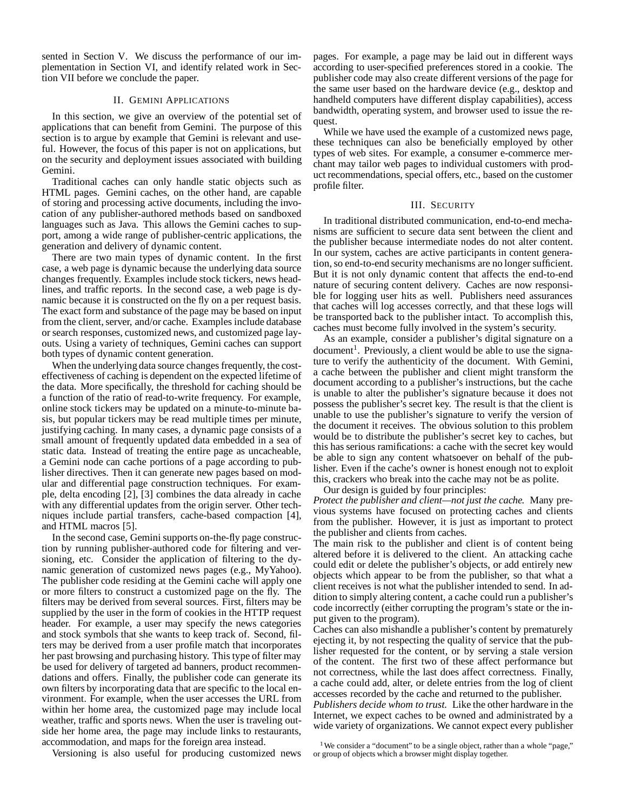sented in Section V. We discuss the performance of our implementation in Section VI, and identify related work in Section VII before we conclude the paper.

## II. GEMINI APPLICATIONS

In this section, we give an overview of the potential set of applications that can benefit from Gemini. The purpose of this section is to argue by example that Gemini is relevant and useful. However, the focus of this paper is not on applications, but on the security and deployment issues associated with building Gemini.

Traditional caches can only handle static objects such as HTML pages. Gemini caches, on the other hand, are capable of storing and processing active documents, including the invocation of any publisher-authored methods based on sandboxed languages such as Java. This allows the Gemini caches to support, among a wide range of publisher-centric applications, the generation and delivery of dynamic content.

There are two main types of dynamic content. In the first case, a web page is dynamic because the underlying data source changes frequently. Examples include stock tickers, news headlines, and traffic reports. In the second case, a web page is dynamic because it is constructed on the fly on a per request basis. The exact form and substance of the page may be based on input from the client, server, and/or cache. Examples include database or search responses, customized news, and customized page layouts. Using a variety of techniques, Gemini caches can support both types of dynamic content generation.

When the underlying data source changes frequently, the costeffectiveness of caching is dependent on the expected lifetime of the data. More specifically, the threshold for caching should be a function of the ratio of read-to-write frequency. For example, online stock tickers may be updated on a minute-to-minute basis, but popular tickers may be read multiple times per minute, justifying caching. In many cases, a dynamic page consists of a small amount of frequently updated data embedded in a sea of static data. Instead of treating the entire page as uncacheable, a Gemini node can cache portions of a page according to publisher directives. Then it can generate new pages based on modular and differential page construction techniques. For example, delta encoding [2], [3] combines the data already in cache with any differential updates from the origin server. Other techniques include partial transfers, cache-based compaction [4], and HTML macros [5].

In the second case, Gemini supports on-the-fly page construction by running publisher-authored code for filtering and versioning, etc. Consider the application of filtering to the dynamic generation of customized news pages (e.g., MyYahoo). The publisher code residing at the Gemini cache will apply one or more filters to construct a customized page on the fly. The filters may be derived from several sources. First, filters may be supplied by the user in the form of cookies in the HTTP request header. For example, a user may specify the news categories and stock symbols that she wants to keep track of. Second, filters may be derived from a user profile match that incorporates her past browsing and purchasing history. This type of filter may be used for delivery of targeted ad banners, product recommendations and offers. Finally, the publisher code can generate its own filters by incorporating data that are specific to the local environment. For example, when the user accesses the URL from within her home area, the customized page may include local weather, traffic and sports news. When the user is traveling outside her home area, the page may include links to restaurants, accommodation, and maps for the foreign area instead.

Versioning is also useful for producing customized news

pages. For example, a page may be laid out in different ways according to user-specified preferences stored in a cookie. The publisher code may also create different versions of the page for the same user based on the hardware device (e.g., desktop and handheld computers have different display capabilities), access bandwidth, operating system, and browser used to issue the request.

While we have used the example of a customized news page, these techniques can also be beneficially employed by other types of web sites. For example, a consumer e-commerce merchant may tailor web pages to individual customers with product recommendations, special offers, etc., based on the customer profile filter.

#### III. SECURITY

In traditional distributed communication, end-to-end mechanisms are sufficient to secure data sent between the client and the publisher because intermediate nodes do not alter content. In our system, caches are active participants in content generation, so end-to-end security mechanisms are no longer sufficient. But it is not only dynamic content that affects the end-to-end nature of securing content delivery. Caches are now responsible for logging user hits as well. Publishers need assurances that caches will log accesses correctly, and that these logs will be transported back to the publisher intact. To accomplish this, caches must become fully involved in the system's security.

As an example, consider a publisher's digital signature on a document<sup>1</sup>. Previously, a client would be able to use the signature to verify the authenticity of the document. With Gemini, a cache between the publisher and client might transform the document according to a publisher's instructions, but the cache is unable to alter the publisher's signature because it does not possess the publisher's secret key. The result is that the client is unable to use the publisher's signature to verify the version of the document it receives. The obvious solution to this problem would be to distribute the publisher's secret key to caches, but this has serious ramifications: a cache with the secret key would be able to sign any content whatsoever on behalf of the publisher. Even if the cache's owner is honest enough not to exploit this, crackers who break into the cache may not be as polite.

# Our design is guided by four principles:

*Protect the publisher and client—not just the cache.* Many previous systems have focused on protecting caches and clients from the publisher. However, it is just as important to protect the publisher and clients from caches.

The main risk to the publisher and client is of content being altered before it is delivered to the client. An attacking cache could edit or delete the publisher's objects, or add entirely new objects which appear to be from the publisher, so that what a client receives is not what the publisher intended to send. In addition to simply altering content, a cache could run a publisher's code incorrectly (either corrupting the program's state or the input given to the program).

Caches can also mishandle a publisher's content by prematurely ejecting it, by not respecting the quality of service that the publisher requested for the content, or by serving a stale version of the content. The first two of these affect performance but not correctness, while the last does affect correctness. Finally, a cache could add, alter, or delete entries from the log of client accesses recorded by the cache and returned to the publisher. *Publishers decide whom to trust.* Like the other hardware in the Internet, we expect caches to be owned and administrated by a wide variety of organizations. We cannot expect every publisher

<sup>&</sup>lt;sup>1</sup>We consider a "document" to be a single object, rather than a whole "page," or group of objects which a browser might display together.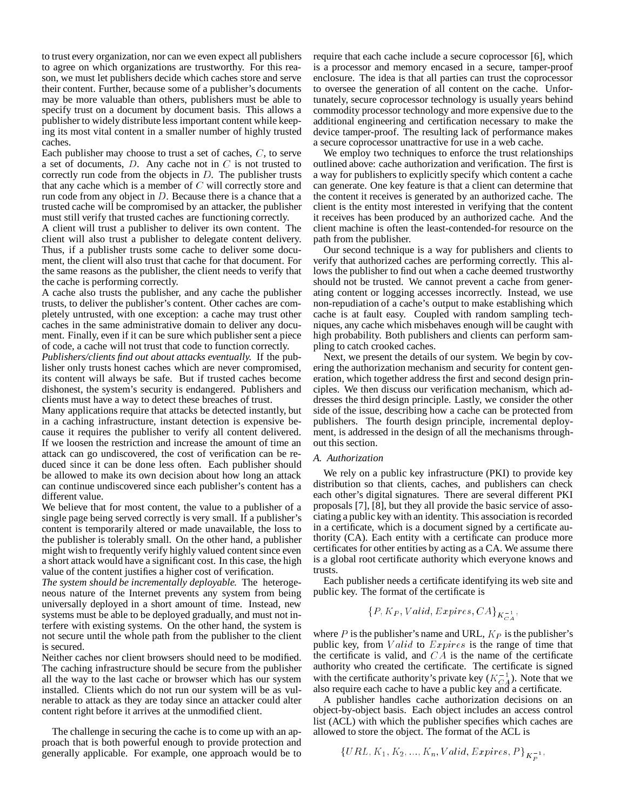to trust every organization, nor can we even expect all publishers to agree on which organizations are trustworthy. For this reason, we must let publishers decide which caches store and serve their content. Further, because some of a publisher's documents may be more valuable than others, publishers must be able to specify trust on a document by document basis. This allows a publisher to widely distribute less important content while keeping its most vital content in a smaller number of highly trusted caches.

Each publisher may choose to trust a set of caches,  $C$ , to serve a set of documents,  $D$ . Any cache not in  $C$  is not trusted to correctly run code from the objects in  $D$ . The publisher trusts that any cache which is a member of  $C$  will correctly store and run code from any object in  $D$ . Because there is a chance that a trusted cache will be compromised by an attacker, the publisher must still verify that trusted caches are functioning correctly.

A client will trust a publisher to deliver its own content. The client will also trust a publisher to delegate content delivery. Thus, if a publisher trusts some cache to deliver some document, the client will also trust that cache for that document. For the same reasons as the publisher, the client needs to verify that the cache is performing correctly.

A cache also trusts the publisher, and any cache the publisher trusts, to deliver the publisher's content. Other caches are completely untrusted, with one exception: a cache may trust other caches in the same administrative domain to deliver any document. Finally, even if it can be sure which publisher sent a piece of code, a cache will not trust that code to function correctly.

*Publishers/clients find out about attacks eventually.* If the publisher only trusts honest caches which are never compromised, its content will always be safe. But if trusted caches become dishonest, the system's security is endangered. Publishers and clients must have a way to detect these breaches of trust.

Many applications require that attacks be detected instantly, but in a caching infrastructure, instant detection is expensive because it requires the publisher to verify all content delivered. If we loosen the restriction and increase the amount of time an attack can go undiscovered, the cost of verification can be reduced since it can be done less often. Each publisher should be allowed to make its own decision about how long an attack can continue undiscovered since each publisher's content has a different value.

We believe that for most content, the value to a publisher of a single page being served correctly is very small. If a publisher's content is temporarily altered or made unavailable, the loss to the publisher is tolerably small. On the other hand, a publisher might wish to frequently verify highly valued content since even a short attack would have a significant cost. In this case, the high value of the content justifies a higher cost of verification.

*The system should be incrementally deployable.* The heterogeneous nature of the Internet prevents any system from being universally deployed in a short amount of time. Instead, new systems must be able to be deployed gradually, and must not interfere with existing systems. On the other hand, the system is not secure until the whole path from the publisher to the client is secured.

Neither caches nor client browsers should need to be modified. The caching infrastructure should be secure from the publisher all the way to the last cache or browser which has our system installed. Clients which do not run our system will be as vulnerable to attack as they are today since an attacker could alter content right before it arrives at the unmodified client.

The challenge in securing the cache is to come up with an approach that is both powerful enough to provide protection and generally applicable. For example, one approach would be to

require that each cache include a secure coprocessor [6], which is a processor and memory encased in a secure, tamper-proof enclosure. The idea is that all parties can trust the coprocessor to oversee the generation of all content on the cache. Unfortunately, secure coprocessor technology is usually years behind commodity processor technology and more expensive due to the additional engineering and certification necessary to make the device tamper-proof. The resulting lack of performance makes a secure coprocessor unattractive for use in a web cache.

We employ two techniques to enforce the trust relationships outlined above: cache authorization and verification. The first is a way for publishers to explicitly specify which content a cache can generate. One key feature is that a client can determine that the content it receives is generated by an authorized cache. The client is the entity most interested in verifying that the content it receives has been produced by an authorized cache. And the client machine is often the least-contended-for resource on the path from the publisher.

Our second technique is a way for publishers and clients to verify that authorized caches are performing correctly. This allows the publisher to find out when a cache deemed trustworthy should not be trusted. We cannot prevent a cache from generating content or logging accesses incorrectly. Instead, we use non-repudiation of a cache's output to make establishing which cache is at fault easy. Coupled with random sampling techniques, any cache which misbehaves enough will be caught with high probability. Both publishers and clients can perform sampling to catch crooked caches.

Next, we present the details of our system. We begin by covering the authorization mechanism and security for content generation, which together address the first and second design principles. We then discuss our verification mechanism, which addresses the third design principle. Lastly, we consider the other side of the issue, describing how a cache can be protected from publishers. The fourth design principle, incremental deployment, is addressed in the design of all the mechanisms throughout this section.

#### *A. Authorization*

We rely on a public key infrastructure (PKI) to provide key distribution so that clients, caches, and publishers can check each other's digital signatures. There are several different PKI proposals [7], [8], but they all provide the basic service of associating a public key with an identity. This association is recorded in a certificate, which is a document signed by a certificate authority (CA). Each entity with a certificate can produce more certificates for other entities by acting as a CA. We assume there is a global root certificate authority which everyone knows and trusts.

Each publisher needs a certificate identifying its web site and public key. The format of the certificate is

$$
\{P, K_P, Valid, Expires, CA\}_{K_{CA}^{-1}},
$$

where  $P$  is the publisher's name and URL,  $K_P$  is the publisher's public key, from  $Valid$  to  $Express$  is the range of time that the certificate is valid, and  $CA$  is the name of the certificate authority who created the certificate. The certificate is signed with the certificate authority's private key  $(K_{CA}^{-1})$ . Note that we also require each cache to have a public key and a certificate.

A publisher handles cache authorization decisions on an object-by-object basis. Each object includes an access control list (ACL) with which the publisher specifies which caches are allowed to store the object. The format of the ACL is

$$
{\{URL, K_1, K_2, ..., K_n, Valid, Expires, P\}}_{K_P^{-1}},
$$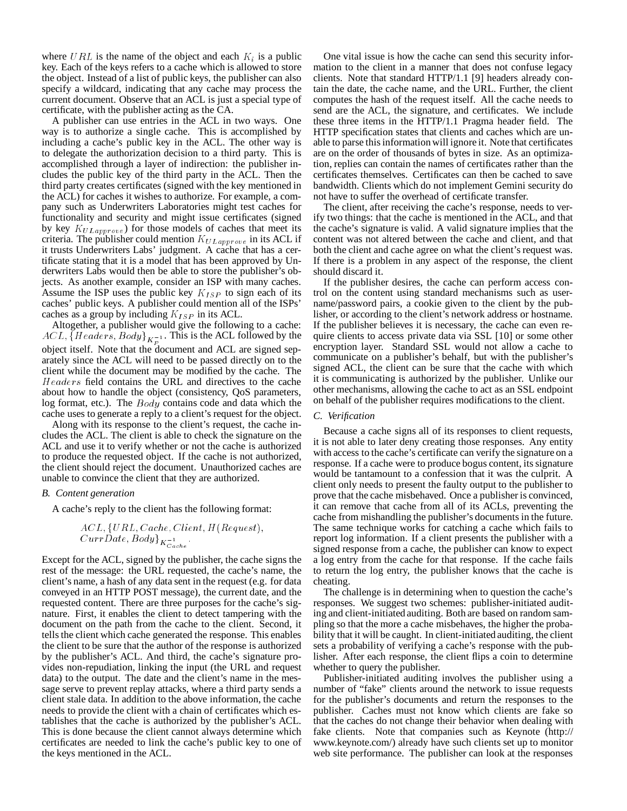where  $URL$  is the name of the object and each  $K_i$  is a public key. Each of the keys refers to a cache which is allowed to store the object. Instead of a list of public keys, the publisher can also specify a wildcard, indicating that any cache may process the current document. Observe that an ACL is just a special type of certificate, with the publisher acting as the CA.

A publisher can use entries in the ACL in two ways. One way is to authorize a single cache. This is accomplished by including a cache's public key in the ACL. The other way is to delegate the authorization decision to a third party. This is accomplished through a layer of indirection: the publisher includes the public key of the third party in the ACL. Then the third party creates certificates (signed with the key mentioned in the ACL) for caches it wishes to authorize. For example, a company such as Underwriters Laboratories might test caches for functionality and security and might issue certificates (signed by key  $K_{ULapprove}$ ) for those models of caches that meet its criteria. The publisher could mention  $K_{ULapprove}$  in its ACL if it trusts Underwriters Labs' judgment. A cache that has a certificate stating that it is a model that has been approved by Underwriters Labs would then be able to store the publisher's objects. As another example, consider an ISP with many caches. Assume the ISP uses the public key  $K_{ISP}$  to sign each of its caches' public keys. A publisher could mention all of the ISPs' caches as a group by including  $K_{ISP}$  in its ACL.

Altogether, a publisher would give the following to a cache:  $ACL, \{Headers, Body\}_{K_P^{-1}}$ . This is the ACL followed by the object itself. Note that the document and ACL are signed separately since the ACL will need to be passed directly on to the client while the document may be modified by the cache. The Headers field contains the URL and directives to the cache about how to handle the object (consistency, QoS parameters, log format, etc.). The Body contains code and data which the cache uses to generate a reply to a client's request for the object.

Along with its response to the client's request, the cache includes the ACL. The client is able to check the signature on the ACL and use it to verify whether or not the cache is authorized to produce the requested object. If the cache is not authorized, the client should reject the document. Unauthorized caches are unable to convince the client that they are authorized.

#### *B. Content generation*

A cache's reply to the client has the following format:

$$
\begin{array}{l} ACL,\{URL,Cache,Client,H(Request),\\ CurrDate,Body\}_{K_{Cache}^{-1}}.\end{array}
$$

Except for the ACL, signed by the publisher, the cache signs the rest of the message: the URL requested, the cache's name, the client's name, a hash of any data sent in the request (e.g. for data conveyed in an HTTP POST message), the current date, and the requested content. There are three purposes for the cache's signature. First, it enables the client to detect tampering with the document on the path from the cache to the client. Second, it tells the client which cache generated the response. This enables the client to be sure that the author of the response is authorized by the publisher's ACL. And third, the cache's signature provides non-repudiation, linking the input (the URL and request data) to the output. The date and the client's name in the message serve to prevent replay attacks, where a third party sends a client stale data. In addition to the above information, the cache needs to provide the client with a chain of certificates which establishes that the cache is authorized by the publisher's ACL. This is done because the client cannot always determine which certificates are needed to link the cache's public key to one of the keys mentioned in the ACL.

One vital issue is how the cache can send this security information to the client in a manner that does not confuse legacy clients. Note that standard HTTP/1.1 [9] headers already contain the date, the cache name, and the URL. Further, the client computes the hash of the request itself. All the cache needs to send are the ACL, the signature, and certificates. We include these three items in the HTTP/1.1 Pragma header field. The HTTP specification states that clients and caches which are unable to parse this information will ignore it. Note that certificates are on the order of thousands of bytes in size. As an optimization, replies can contain the names of certificates rather than the certificates themselves. Certificates can then be cached to save bandwidth. Clients which do not implement Gemini security do not have to suffer the overhead of certificate transfer.

The client, after receiving the cache's response, needs to verify two things: that the cache is mentioned in the ACL, and that the cache's signature is valid. A valid signature implies that the content was not altered between the cache and client, and that both the client and cache agree on what the client's request was. If there is a problem in any aspect of the response, the client should discard it.

If the publisher desires, the cache can perform access control on the content using standard mechanisms such as username/password pairs, a cookie given to the client by the publisher, or according to the client's network address or hostname. If the publisher believes it is necessary, the cache can even require clients to access private data via SSL [10] or some other encryption layer. Standard SSL would not allow a cache to communicate on a publisher's behalf, but with the publisher's signed ACL, the client can be sure that the cache with which it is communicating is authorized by the publisher. Unlike our other mechanisms, allowing the cache to act as an SSL endpoint on behalf of the publisher requires modifications to the client.

#### *C. Verification*

Because a cache signs all of its responses to client requests, it is not able to later deny creating those responses. Any entity with access to the cache's certificate can verify the signature on a response. If a cache were to produce bogus content, its signature would be tantamount to a confession that it was the culprit. A client only needs to present the faulty output to the publisher to prove that the cache misbehaved. Once a publisher is convinced, it can remove that cache from all of its ACLs, preventing the cache from mishandling the publisher's documents in the future. The same technique works for catching a cache which fails to report log information. If a client presents the publisher with a signed response from a cache, the publisher can know to expect a log entry from the cache for that response. If the cache fails to return the log entry, the publisher knows that the cache is cheating.

The challenge is in determining when to question the cache's responses. We suggest two schemes: publisher-initiated auditing and client-initiated auditing. Both are based on random sampling so that the more a cache misbehaves, the higher the probability that it will be caught. In client-initiated auditing, the client sets a probability of verifying a cache's response with the publisher. After each response, the client flips a coin to determine whether to query the publisher.

Publisher-initiated auditing involves the publisher using a number of "fake" clients around the network to issue requests for the publisher's documents and return the responses to the publisher. Caches must not know which clients are fake so that the caches do not change their behavior when dealing with fake clients. Note that companies such as Keynote (http:// www.keynote.com/) already have such clients set up to monitor web site performance. The publisher can look at the responses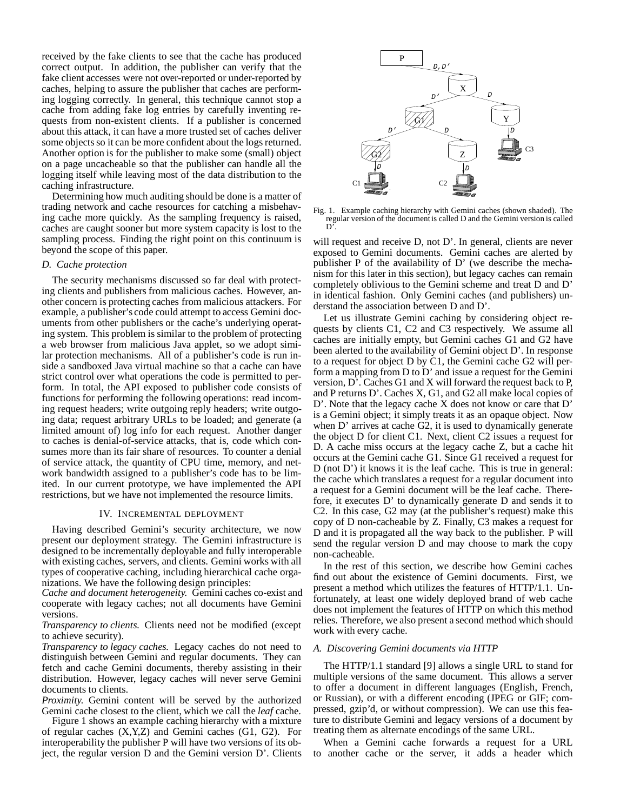received by the fake clients to see that the cache has produced correct output. In addition, the publisher can verify that the fake client accesses were not over-reported or under-reported by caches, helping to assure the publisher that caches are performing logging correctly. In general, this technique cannot stop a cache from adding fake log entries by carefully inventing requests from non-existent clients. If a publisher is concerned about this attack, it can have a more trusted set of caches deliver some objects so it can be more confident about the logs returned. Another option is for the publisher to make some (small) object on a page uncacheable so that the publisher can handle all the logging itself while leaving most of the data distribution to the caching infrastructure.

Determining how much auditing should be done is a matter of trading network and cache resources for catching a misbehaving cache more quickly. As the sampling frequency is raised, caches are caught sooner but more system capacity is lost to the sampling process. Finding the right point on this continuum is beyond the scope of this paper.

# *D. Cache protection*

The security mechanisms discussed so far deal with protecting clients and publishers from malicious caches. However, another concern is protecting caches from malicious attackers. For example, a publisher's code could attempt to access Gemini documents from other publishers or the cache's underlying operating system. This problem is similar to the problem of protecting a web browser from malicious Java applet, so we adopt similar protection mechanisms. All of a publisher's code is run inside a sandboxed Java virtual machine so that a cache can have strict control over what operations the code is permitted to perform. In total, the API exposed to publisher code consists of functions for performing the following operations: read incoming request headers; write outgoing reply headers; write outgoing data; request arbitrary URLs to be loaded; and generate (a limited amount of) log info for each request. Another danger to caches is denial-of-service attacks, that is, code which consumes more than its fair share of resources. To counter a denial of service attack, the quantity of CPU time, memory, and network bandwidth assigned to a publisher's code has to be limited. In our current prototype, we have implemented the API restrictions, but we have not implemented the resource limits.

#### IV. INCREMENTAL DEPLOYMENT

Having described Gemini's security architecture, we now present our deployment strategy. The Gemini infrastructure is designed to be incrementally deployable and fully interoperable with existing caches, servers, and clients. Gemini works with all types of cooperative caching, including hierarchical cache organizations. We have the following design principles:

*Cache and document heterogeneity.* Gemini caches co-exist and cooperate with legacy caches; not all documents have Gemini versions.

*Transparency to clients.* Clients need not be modified (except to achieve security).

*Transparency to legacy caches.* Legacy caches do not need to distinguish between Gemini and regular documents. They can fetch and cache Gemini documents, thereby assisting in their distribution. However, legacy caches will never serve Gemini documents to clients.

*Proximity.* Gemini content will be served by the authorized Gemini cache closest to the client, which we call the *leaf* cache.

Figure 1 shows an example caching hierarchy with a mixture of regular caches (X,Y,Z) and Gemini caches (G1, G2). For interoperability the publisher P will have two versions of its object, the regular version D and the Gemini version D'. Clients



Fig. 1. Example caching hierarchy with Gemini caches (shown shaded). The regular version of the document is called D and the Gemini version is called  $D^{\bar{r}}$ 

will request and receive D, not D'. In general, clients are never exposed to Gemini documents. Gemini caches are alerted by publisher P of the availability of D' (we describe the mechanism for this later in this section), but legacy caches can remain completely oblivious to the Gemini scheme and treat D and D' in identical fashion. Only Gemini caches (and publishers) understand the association between D and D'.

Let us illustrate Gemini caching by considering object requests by clients C1, C2 and C3 respectively. We assume all caches are initially empty, but Gemini caches G1 and G2 have been alerted to the availability of Gemini object D'. In response to a request for object D by C1, the Gemini cache G2 will perform a mapping from D to D' and issue a request for the Gemini version, D'. Caches G1 and X will forward the request back to P, and P returns D'. Caches X, G1, and G2 all make local copies of D'. Note that the legacy cache X does not know or care that D' is a Gemini object; it simply treats it as an opaque object. Now when D' arrives at cache G2, it is used to dynamically generate the object D for client C1. Next, client C2 issues a request for D. A cache miss occurs at the legacy cache Z, but a cache hit occurs at the Gemini cache G1. Since G1 received a request for D (not D') it knows it is the leaf cache. This is true in general: the cache which translates a request for a regular document into a request for a Gemini document will be the leaf cache. Therefore, it executes D' to dynamically generate D and sends it to C2. In this case, G2 may (at the publisher's request) make this copy of D non-cacheable by Z. Finally, C3 makes a request for D and it is propagated all the way back to the publisher. P will send the regular version D and may choose to mark the copy non-cacheable.

In the rest of this section, we describe how Gemini caches find out about the existence of Gemini documents. First, we present a method which utilizes the features of HTTP/1.1. Unfortunately, at least one widely deployed brand of web cache does not implement the features of HTTP on which this method relies. Therefore, we also present a second method which should work with every cache.

#### *A. Discovering Gemini documents via HTTP*

The HTTP/1.1 standard [9] allows a single URL to stand for multiple versions of the same document. This allows a server to offer a document in different languages (English, French, or Russian), or with a different encoding (JPEG or GIF; compressed, gzip'd, or without compression). We can use this feature to distribute Gemini and legacy versions of a document by treating them as alternate encodings of the same URL.

When a Gemini cache forwards a request for a URL to another cache or the server, it adds a header which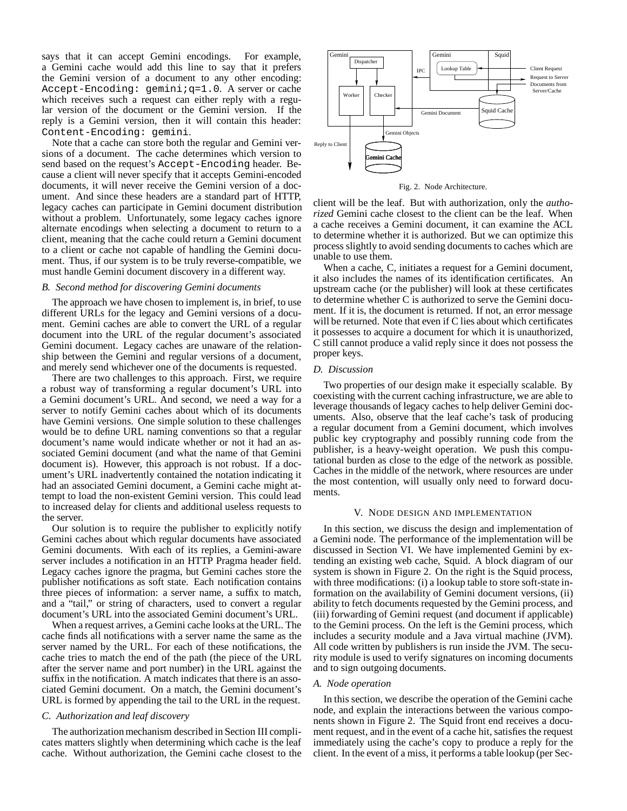says that it can accept Gemini encodings. For example, a Gemini cache would add this line to say that it prefers the Gemini version of a document to any other encoding: Accept-Encoding: gemini;q=1.0. A server or cache which receives such a request can either reply with a regular version of the document or the Gemini version. If the reply is a Gemini version, then it will contain this header: Content-Encoding: gemini.

Note that a cache can store both the regular and Gemini versions of a document. The cache determines which version to send based on the request's Accept-Encoding header. Because a client will never specify that it accepts Gemini-encoded documents, it will never receive the Gemini version of a document. And since these headers are a standard part of HTTP, legacy caches can participate in Gemini document distribution without a problem. Unfortunately, some legacy caches ignore alternate encodings when selecting a document to return to a client, meaning that the cache could return a Gemini document to a client or cache not capable of handling the Gemini document. Thus, if our system is to be truly reverse-compatible, we must handle Gemini document discovery in a different way.

# *B. Second method for discovering Gemini documents*

The approach we have chosen to implement is, in brief, to use different URLs for the legacy and Gemini versions of a document. Gemini caches are able to convert the URL of a regular document into the URL of the regular document's associated Gemini document. Legacy caches are unaware of the relationship between the Gemini and regular versions of a document, and merely send whichever one of the documents is requested.

There are two challenges to this approach. First, we require a robust way of transforming a regular document's URL into a Gemini document's URL. And second, we need a way for a server to notify Gemini caches about which of its documents have Gemini versions. One simple solution to these challenges would be to define URL naming conventions so that a regular document's name would indicate whether or not it had an associated Gemini document (and what the name of that Gemini document is). However, this approach is not robust. If a document's URL inadvertently contained the notation indicating it had an associated Gemini document, a Gemini cache might attempt to load the non-existent Gemini version. This could lead to increased delay for clients and additional useless requests to the server.

Our solution is to require the publisher to explicitly notify Gemini caches about which regular documents have associated Gemini documents. With each of its replies, a Gemini-aware server includes a notification in an HTTP Pragma header field. Legacy caches ignore the pragma, but Gemini caches store the publisher notifications as soft state. Each notification contains three pieces of information: a server name, a suffix to match, and a "tail," or string of characters, used to convert a regular document's URL into the associated Gemini document's URL.

When a request arrives, a Gemini cache looks at the URL. The cache finds all notifications with a server name the same as the server named by the URL. For each of these notifications, the cache tries to match the end of the path (the piece of the URL after the server name and port number) in the URL against the suffix in the notification. A match indicates that there is an associated Gemini document. On a match, the Gemini document's URL is formed by appending the tail to the URL in the request.

#### *C. Authorization and leaf discovery*

The authorization mechanism described in Section III complicates matters slightly when determining which cache is the leaf cache. Without authorization, the Gemini cache closest to the



Fig. 2. Node Architecture.

client will be the leaf. But with authorization, only the *authorized* Gemini cache closest to the client can be the leaf. When a cache receives a Gemini document, it can examine the ACL to determine whether it is authorized. But we can optimize this process slightly to avoid sending documents to caches which are unable to use them.

When a cache, C, initiates a request for a Gemini document, it also includes the names of its identification certificates. An upstream cache (or the publisher) will look at these certificates to determine whether C is authorized to serve the Gemini document. If it is, the document is returned. If not, an error message will be returned. Note that even if C lies about which certificates it possesses to acquire a document for which it is unauthorized, C still cannot produce a valid reply since it does not possess the proper keys.

#### *D. Discussion*

Two properties of our design make it especially scalable. By coexisting with the current caching infrastructure, we are able to leverage thousands of legacy caches to help deliver Gemini documents. Also, observe that the leaf cache's task of producing a regular document from a Gemini document, which involves public key cryptography and possibly running code from the publisher, is a heavy-weight operation. We push this computational burden as close to the edge of the network as possible. Caches in the middle of the network, where resources are under the most contention, will usually only need to forward documents.

#### V. NODE DESIGN AND IMPLEMENTATION

In this section, we discuss the design and implementation of a Gemini node. The performance of the implementation will be discussed in Section VI. We have implemented Gemini by extending an existing web cache, Squid. A block diagram of our system is shown in Figure 2. On the right is the Squid process, with three modifications: (i) a lookup table to store soft-state information on the availability of Gemini document versions, (ii) ability to fetch documents requested by the Gemini process, and (iii) forwarding of Gemini request (and document if applicable) to the Gemini process. On the left is the Gemini process, which includes a security module and a Java virtual machine (JVM). All code written by publishers is run inside the JVM. The security module is used to verify signatures on incoming documents and to sign outgoing documents.

#### *A. Node operation*

In this section, we describe the operation of the Gemini cache node, and explain the interactions between the various components shown in Figure 2. The Squid front end receives a document request, and in the event of a cache hit, satisfies the request immediately using the cache's copy to produce a reply for the client. In the event of a miss, it performs a table lookup (per Sec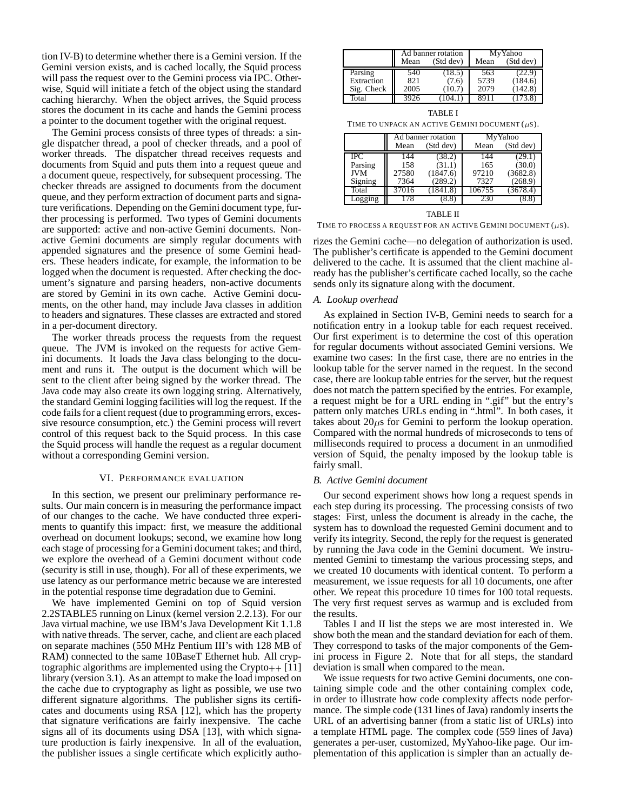tion IV-B) to determine whether there is a Gemini version. If the Gemini version exists, and is cached locally, the Squid process will pass the request over to the Gemini process via IPC. Otherwise, Squid will initiate a fetch of the object using the standard caching hierarchy. When the object arrives, the Squid process stores the document in its cache and hands the Gemini process a pointer to the document together with the original request.

The Gemini process consists of three types of threads: a single dispatcher thread, a pool of checker threads, and a pool of worker threads. The dispatcher thread receives requests and documents from Squid and puts them into a request queue and a document queue, respectively, for subsequent processing. The checker threads are assigned to documents from the document queue, and they perform extraction of document parts and signature verifications. Depending on the Gemini document type, further processing is performed. Two types of Gemini documents are supported: active and non-active Gemini documents. Nonactive Gemini documents are simply regular documents with appended signatures and the presence of some Gemini headers. These headers indicate, for example, the information to be logged when the document is requested. After checking the document's signature and parsing headers, non-active documents are stored by Gemini in its own cache. Active Gemini documents, on the other hand, may include Java classes in addition to headers and signatures. These classes are extracted and stored in a per-document directory.

The worker threads process the requests from the request queue. The JVM is invoked on the requests for active Gemini documents. It loads the Java class belonging to the document and runs it. The output is the document which will be sent to the client after being signed by the worker thread. The Java code may also create its own logging string. Alternatively, the standard Gemini logging facilities will log the request. If the code fails for a client request (due to programming errors, excessive resource consumption, etc.) the Gemini process will revert control of this request back to the Squid process. In this case the Squid process will handle the request as a regular document without a corresponding Gemini version.

# VI. PERFORMANCE EVALUATION

In this section, we present our preliminary performance results. Our main concern is in measuring the performance impact of our changes to the cache. We have conducted three experiments to quantify this impact: first, we measure the additional overhead on document lookups; second, we examine how long each stage of processing for a Gemini document takes; and third, we explore the overhead of a Gemini document without code (security is still in use, though). For all of these experiments, we use latency as our performance metric because we are interested in the potential response time degradation due to Gemini.

We have implemented Gemini on top of Squid version 2.2STABLE5 running on Linux (kernel version 2.2.13). For our Java virtual machine, we use IBM's Java Development Kit 1.1.8 with native threads. The server, cache, and client are each placed on separate machines (550 MHz Pentium III's with 128 MB of RAM) connected to the same 10BaseT Ethernet hub. All cryptographic algorithms are implemented using the  $Crypto++$  [11] library (version 3.1). As an attempt to make the load imposed on the cache due to cryptography as light as possible, we use two different signature algorithms. The publisher signs its certificates and documents using RSA [12], which has the property that signature verifications are fairly inexpensive. The cache signs all of its documents using DSA [13], with which signature production is fairly inexpensive. In all of the evaluation, the publisher issues a single certificate which explicitly autho-

|            | Ad banner rotation |           | MyYahoo |           |
|------------|--------------------|-----------|---------|-----------|
|            | Mean               | (Std dev) | Mean    | (Std dev) |
| Parsing    | 540                | (18.5)    | 563     | 22.9      |
| Extraction | 821                | (7.6)     | 5739    | (184.6)   |
| Sig. Check | 2005               | (10.7)    | 2079    | (142.8)   |
| Total      | 3926               |           | 8911    | 173.8     |

TABLE I TIME TO UNPACK AN ACTIVE GEMINI DOCUMENT  $(\mu s)$ .

|            | <b>Ad banner rotation</b> |           | <b>MyYahoo</b> |           |  |  |
|------------|---------------------------|-----------|----------------|-----------|--|--|
|            | Mean                      | (Std dev) | Mean           | (Std dev) |  |  |
| IPC        | 144                       | 38.2      | 144            | 29.1      |  |  |
| Parsing    | 158                       | (31.1)    | 165            | (30.0)    |  |  |
| <b>JVM</b> | 27580                     | (1847.6)  | 97210          | (3682.8)  |  |  |
| Signing    | 7364                      | (289.2)   | 7327           | (268.9)   |  |  |
| Total      | 37016                     |           | 106755         |           |  |  |
| Logging    | 178                       | 8.8       | 230            | 8.8       |  |  |
| TABLE II   |                           |           |                |           |  |  |

TIME TO PROCESS A REQUEST FOR AN ACTIVE GEMINI DOCUMENT  $(\mu s)$ .

rizes the Gemini cache—no delegation of authorization is used. The publisher's certificate is appended to the Gemini document delivered to the cache. It is assumed that the client machine already has the publisher's certificate cached locally, so the cache sends only its signature along with the document.

#### *A. Lookup overhead*

As explained in Section IV-B, Gemini needs to search for a notification entry in a lookup table for each request received. Our first experiment is to determine the cost of this operation for regular documents without associated Gemini versions. We examine two cases: In the first case, there are no entries in the lookup table for the server named in the request. In the second case, there are lookup table entries for the server, but the request does not match the pattern specified by the entries. For example, a request might be for a URL ending in ".gif" but the entry's pattern only matches URLs ending in ".html". In both cases, it takes about  $20\mu s$  for Gemini to perform the lookup operation. Compared with the normal hundreds of microseconds to tens of milliseconds required to process a document in an unmodified version of Squid, the penalty imposed by the lookup table is fairly small.

#### *B. Active Gemini document*

Our second experiment shows how long a request spends in each step during its processing. The processing consists of two stages: First, unless the document is already in the cache, the system has to download the requested Gemini document and to verify its integrity. Second, the reply for the request is generated by running the Java code in the Gemini document. We instrumented Gemini to timestamp the various processing steps, and we created 10 documents with identical content. To perform a measurement, we issue requests for all 10 documents, one after other. We repeat this procedure 10 times for 100 total requests. The very first request serves as warmup and is excluded from the results.

Tables I and II list the steps we are most interested in. We show both the mean and the standard deviation for each of them. They correspond to tasks of the major components of the Gemini process in Figure 2. Note that for all steps, the standard deviation is small when compared to the mean.

We issue requests for two active Gemini documents, one containing simple code and the other containing complex code, in order to illustrate how code complexity affects node performance. The simple code (131 lines of Java) randomly inserts the URL of an advertising banner (from a static list of URLs) into a template HTML page. The complex code (559 lines of Java) generates a per-user, customized, MyYahoo-like page. Our implementation of this application is simpler than an actually de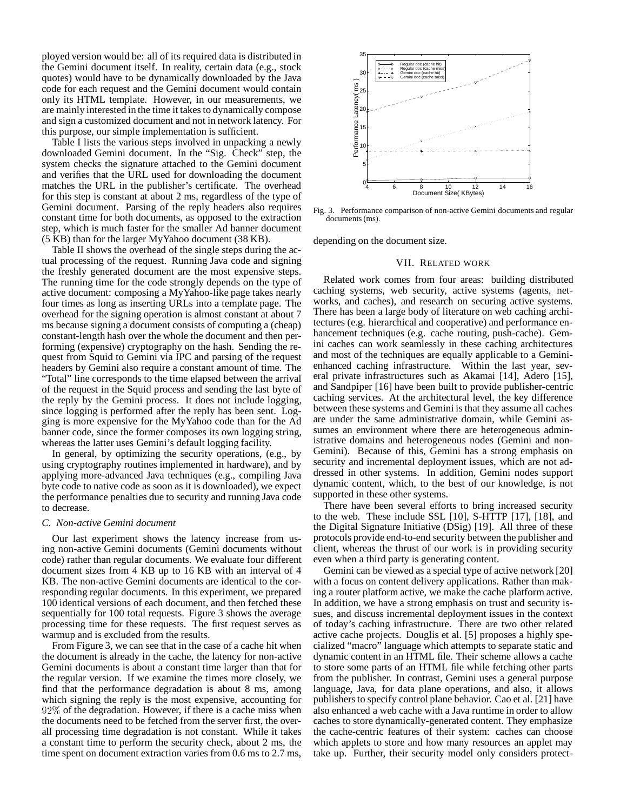ployed version would be: all of its required data is distributed in the Gemini document itself. In reality, certain data (e.g., stock quotes) would have to be dynamically downloaded by the Java code for each request and the Gemini document would contain only its HTML template. However, in our measurements, we are mainly interested in the time it takes to dynamically compose and sign a customized document and not in network latency. For this purpose, our simple implementation is sufficient.

Table I lists the various steps involved in unpacking a newly downloaded Gemini document. In the "Sig. Check" step, the system checks the signature attached to the Gemini document and verifies that the URL used for downloading the document matches the URL in the publisher's certificate. The overhead for this step is constant at about 2 ms, regardless of the type of Gemini document. Parsing of the reply headers also requires constant time for both documents, as opposed to the extraction step, which is much faster for the smaller Ad banner document (5 KB) than for the larger MyYahoo document (38 KB).

Table II shows the overhead of the single steps during the actual processing of the request. Running Java code and signing the freshly generated document are the most expensive steps. The running time for the code strongly depends on the type of active document: composing a MyYahoo-like page takes nearly four times as long as inserting URLs into a template page. The overhead for the signing operation is almost constant at about 7 ms because signing a document consists of computing a (cheap) constant-length hash over the whole the document and then performing (expensive) cryptography on the hash. Sending the request from Squid to Gemini via IPC and parsing of the request headers by Gemini also require a constant amount of time. The "Total" line corresponds to the time elapsed between the arrival of the request in the Squid process and sending the last byte of the reply by the Gemini process. It does not include logging, since logging is performed after the reply has been sent. Logging is more expensive for the MyYahoo code than for the Ad banner code, since the former composes its own logging string, whereas the latter uses Gemini's default logging facility.

In general, by optimizing the security operations, (e.g., by using cryptography routines implemented in hardware), and by applying more-advanced Java techniques (e.g., compiling Java byte code to native code as soon as it is downloaded), we expect the performance penalties due to security and running Java code to decrease.

#### *C. Non-active Gemini document*

Our last experiment shows the latency increase from using non-active Gemini documents (Gemini documents without code) rather than regular documents. We evaluate four different document sizes from 4 KB up to 16 KB with an interval of 4 KB. The non-active Gemini documents are identical to the corresponding regular documents. In this experiment, we prepared 100 identical versions of each document, and then fetched these sequentially for 100 total requests. Figure 3 shows the average processing time for these requests. The first request serves as warmup and is excluded from the results.

From Figure 3, we can see that in the case of a cache hit when the document is already in the cache, the latency for non-active Gemini documents is about a constant time larger than that for the regular version. If we examine the times more closely, we find that the performance degradation is about 8 ms, among which signing the reply is the most expensive, accounting for 92% of the degradation. However, if there is a cache miss when the documents need to be fetched from the server first, the overall processing time degradation is not constant. While it takes a constant time to perform the security check, about 2 ms, the time spent on document extraction varies from 0.6 ms to 2.7 ms,



Fig. 3. Performance comparison of non-active Gemini documents and regular documents (ms).

depending on the document size.

#### VII. RELATED WORK

Related work comes from four areas: building distributed caching systems, web security, active systems (agents, networks, and caches), and research on securing active systems. There has been a large body of literature on web caching architectures (e.g. hierarchical and cooperative) and performance enhancement techniques (e.g. cache routing, push-cache). Gemini caches can work seamlessly in these caching architectures and most of the techniques are equally applicable to a Geminienhanced caching infrastructure. Within the last year, several private infrastructures such as Akamai [14], Adero [15], and Sandpiper [16] have been built to provide publisher-centric caching services. At the architectural level, the key difference between these systems and Gemini is that they assume all caches are under the same administrative domain, while Gemini assumes an environment where there are heterogeneous administrative domains and heterogeneous nodes (Gemini and non-Gemini). Because of this, Gemini has a strong emphasis on security and incremental deployment issues, which are not addressed in other systems. In addition, Gemini nodes support dynamic content, which, to the best of our knowledge, is not supported in these other systems.

There have been several efforts to bring increased security to the web. These include SSL [10], S-HTTP [17], [18], and the Digital Signature Initiative (DSig) [19]. All three of these protocols provide end-to-end security between the publisher and client, whereas the thrust of our work is in providing security even when a third party is generating content.

Gemini can be viewed as a special type of active network [20] with a focus on content delivery applications. Rather than making a router platform active, we make the cache platform active. In addition, we have a strong emphasis on trust and security issues, and discuss incremental deployment issues in the context of today's caching infrastructure. There are two other related active cache projects. Douglis et al. [5] proposes a highly specialized "macro" language which attempts to separate static and dynamic content in an HTML file. Their scheme allows a cache to store some parts of an HTML file while fetching other parts from the publisher. In contrast, Gemini uses a general purpose language, Java, for data plane operations, and also, it allows publishers to specify control plane behavior. Cao et al. [21] have also enhanced a web cache with a Java runtime in order to allow caches to store dynamically-generated content. They emphasize the cache-centric features of their system: caches can choose which applets to store and how many resources an applet may take up. Further, their security model only considers protect